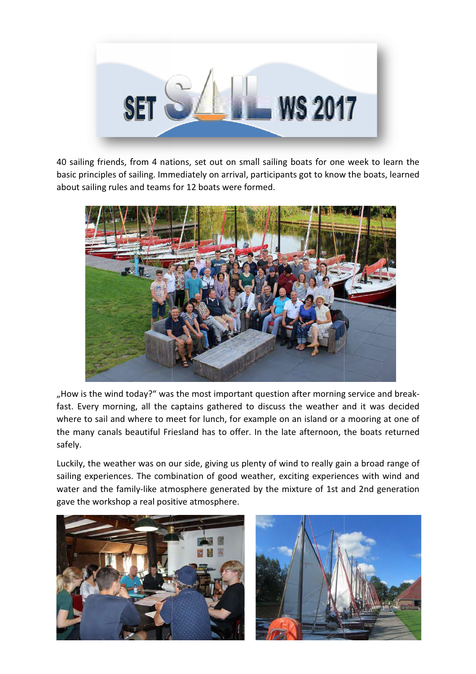

40 sailing friends, from 4 nations, set out on small sailing boats for one week to learn the basic principles of sailing. Immediately on arrival, participants got to know the boats, learned about sailing rules and teams for 12 boats were formed.



"How is the wind today?" was the most important question after morning service and breakfast. Every morning, all the captains gathered to discuss the weather and it was decided fast. Every morning, all the captains gathered to discuss the weather and it was decided<br>where to sail and where to meet for lunch, for example on an island or a mooring at one of the many canals beautiful Friesland has to offer. In the late afternoon, the boats returned safely.

Luckily, the weather was on our side, giving us plenty of wind to really gain a broad range of sailing experiences. The combination of good weather, exciting experiences with wind and<br>water and the family-like atmosphere generated by the mixture of 1st and 2nd generation water and the family-like atmosphere generated by the mixture of 1st and 2nd generation gave the workshop a real positive atmosphere.